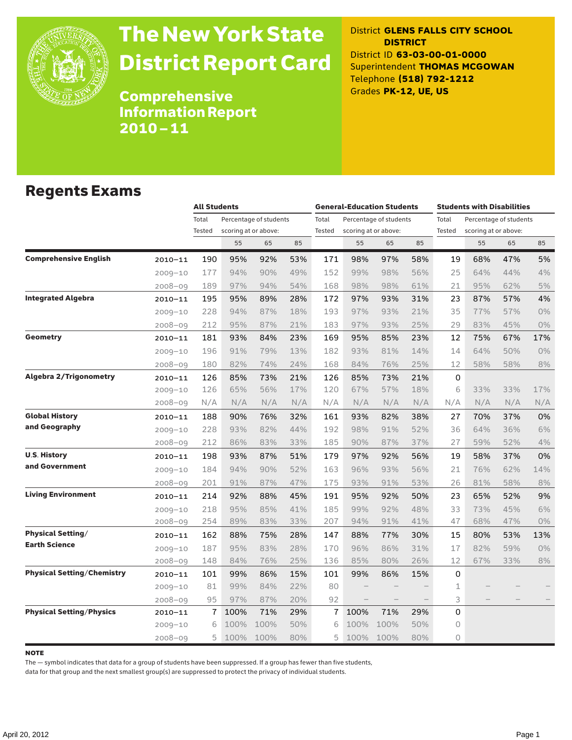

# The New York State District Report Card

District **GLENS FALLS CITY SCHOOL DISTRICT** District ID **63-03-00-01-0000** Superintendent **THOMAS MCGOWAN** Telephone **(518) 792-1212** Grades **PK-12, UE, US**

Comprehensive Information Report 2010–11

#### Regents Exams

|                                   |             |                 | <b>All Students</b> |                                                |     |                 | <b>General-Education Students</b> |                                                |     |                 | <b>Students with Disabilities</b>              |     |       |  |
|-----------------------------------|-------------|-----------------|---------------------|------------------------------------------------|-----|-----------------|-----------------------------------|------------------------------------------------|-----|-----------------|------------------------------------------------|-----|-------|--|
|                                   |             | Total<br>Tested |                     | Percentage of students<br>scoring at or above: |     | Total<br>Tested |                                   | Percentage of students<br>scoring at or above: |     | Total<br>Tested | Percentage of students<br>scoring at or above: |     |       |  |
|                                   |             |                 | 55                  | 65                                             | 85  |                 | 55                                | 65                                             | 85  |                 | 55                                             | 65  | 85    |  |
| <b>Comprehensive English</b>      | $2010 - 11$ | 190             | 95%                 | 92%                                            | 53% | 171             | 98%                               | 97%                                            | 58% | 19              | 68%                                            | 47% | 5%    |  |
|                                   | $2009 - 10$ | 177             | 94%                 | 90%                                            | 49% | 152             | 99%                               | 98%                                            | 56% | 25              | 64%                                            | 44% | 4%    |  |
|                                   | 2008-09     | 189             | 97%                 | 94%                                            | 54% | 168             | 98%                               | 98%                                            | 61% | 21              | 95%                                            | 62% | 5%    |  |
| <b>Integrated Algebra</b>         | $2010 - 11$ | 195             | 95%                 | 89%                                            | 28% | 172             | 97%                               | 93%                                            | 31% | 23              | 87%                                            | 57% | 4%    |  |
|                                   | $2009 - 10$ | 228             | 94%                 | 87%                                            | 18% | 193             | 97%                               | 93%                                            | 21% | 35              | 77%                                            | 57% | 0%    |  |
|                                   | $2008 - 09$ | 212             | 95%                 | 87%                                            | 21% | 183             | 97%                               | 93%                                            | 25% | 29              | 83%                                            | 45% | 0%    |  |
| <b>Geometry</b>                   | 2010-11     | 181             | 93%                 | 84%                                            | 23% | 169             | 95%                               | 85%                                            | 23% | 12              | 75%                                            | 67% | 17%   |  |
|                                   | $2009 - 10$ | 196             | 91%                 | 79%                                            | 13% | 182             | 93%                               | 81%                                            | 14% | 14              | 64%                                            | 50% | 0%    |  |
|                                   | $2008 - 09$ | 180             | 82%                 | 74%                                            | 24% | 168             | 84%                               | 76%                                            | 25% | 12              | 58%                                            | 58% | 8%    |  |
| <b>Algebra 2/Trigonometry</b>     | $2010 - 11$ | 126             | 85%                 | 73%                                            | 21% | 126             | 85%                               | 73%                                            | 21% | 0               |                                                |     |       |  |
|                                   | $2009 - 10$ | 126             | 65%                 | 56%                                            | 17% | 120             | 67%                               | 57%                                            | 18% | 6               | 33%                                            | 33% | 17%   |  |
|                                   | 2008-09     | N/A             | N/A                 | N/A                                            | N/A | N/A             | N/A                               | N/A                                            | N/A | N/A             | N/A                                            | N/A | N/A   |  |
| <b>Global History</b>             | $2010 - 11$ | 188             | 90%                 | 76%                                            | 32% | 161             | 93%                               | 82%                                            | 38% | 27              | 70%                                            | 37% | 0%    |  |
| and Geography                     | $2009 - 10$ | 228             | 93%                 | 82%                                            | 44% | 192             | 98%                               | 91%                                            | 52% | 36              | 64%                                            | 36% | 6%    |  |
|                                   | $2008 - 09$ | 212             | 86%                 | 83%                                            | 33% | 185             | 90%                               | 87%                                            | 37% | 27              | 59%                                            | 52% | 4%    |  |
| <b>U.S. History</b>               | 2010-11     | 198             | 93%                 | 87%                                            | 51% | 179             | 97%                               | 92%                                            | 56% | 19              | 58%                                            | 37% | 0%    |  |
| and Government                    | $2009 - 10$ | 184             | 94%                 | 90%                                            | 52% | 163             | 96%                               | 93%                                            | 56% | 21              | 76%                                            | 62% | 14%   |  |
|                                   | $2008 - 09$ | 201             | 91%                 | 87%                                            | 47% | 175             | 93%                               | 91%                                            | 53% | 26              | 81%                                            | 58% | $8\%$ |  |
| <b>Living Environment</b>         | 2010-11     | 214             | 92%                 | 88%                                            | 45% | 191             | 95%                               | 92%                                            | 50% | 23              | 65%                                            | 52% | 9%    |  |
|                                   | 2009-10     | 218             | 95%                 | 85%                                            | 41% | 185             | 99%                               | 92%                                            | 48% | 33              | 73%                                            | 45% | 6%    |  |
|                                   | 2008-09     | 254             | 89%                 | 83%                                            | 33% | 207             | 94%                               | 91%                                            | 41% | 47              | 68%                                            | 47% | 0%    |  |
| <b>Physical Setting/</b>          | 2010-11     | 162             | 88%                 | 75%                                            | 28% | 147             | 88%                               | 77%                                            | 30% | 15              | 80%                                            | 53% | 13%   |  |
| <b>Earth Science</b>              | $2009 - 10$ | 187             | 95%                 | 83%                                            | 28% | 170             | 96%                               | 86%                                            | 31% | 17              | 82%                                            | 59% | 0%    |  |
|                                   | 2008-09     | 148             | 84%                 | 76%                                            | 25% | 136             | 85%                               | 80%                                            | 26% | 12              | 67%                                            | 33% | 8%    |  |
| <b>Physical Setting/Chemistry</b> | 2010-11     | 101             | 99%                 | 86%                                            | 15% | 101             | 99%                               | 86%                                            | 15% | 0               |                                                |     |       |  |
|                                   | 2009-10     | 81              | 99%                 | 84%                                            | 22% | 80              |                                   |                                                |     | 1               |                                                |     |       |  |
|                                   | $2008 - 09$ | 95              | 97%                 | 87%                                            | 20% | 92              |                                   |                                                |     | 3               |                                                |     |       |  |
| <b>Physical Setting/Physics</b>   | 2010-11     | 7               | 100%                | 71%                                            | 29% | 7               | 100%                              | 71%                                            | 29% | 0               |                                                |     |       |  |
|                                   | $2009 - 10$ | 6               | 100%                | 100%                                           | 50% | 6               | 100%                              | 100%                                           | 50% | $\circ$         |                                                |     |       |  |
|                                   | 2008-09     | 5.              | 100%                | 100%                                           | 80% | 5               | 100%                              | 100%                                           | 80% | $\circ$         |                                                |     |       |  |

#### note

The — symbol indicates that data for a group of students have been suppressed. If a group has fewer than five students,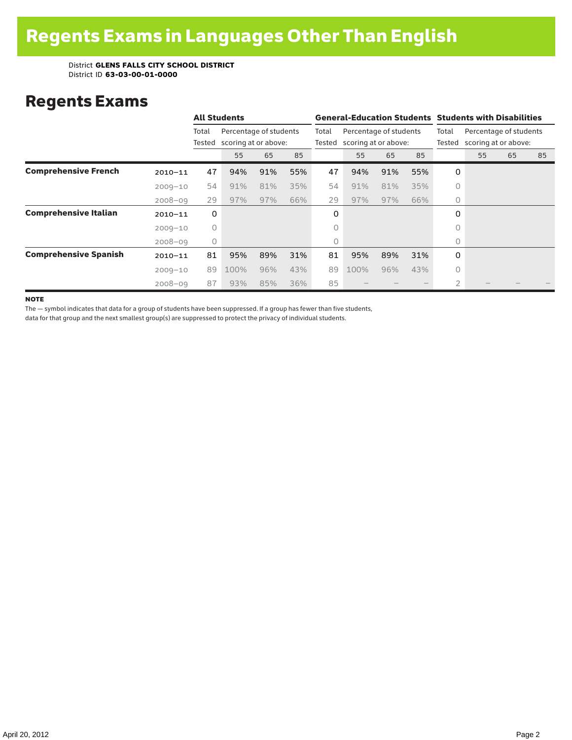### Regents Exams

|                              |             |                 | <b>All Students</b>                            |     |                 |                                                | <b>General-Education Students Students with Disabilities</b> |                 |                                                |                |    |    |    |  |
|------------------------------|-------------|-----------------|------------------------------------------------|-----|-----------------|------------------------------------------------|--------------------------------------------------------------|-----------------|------------------------------------------------|----------------|----|----|----|--|
|                              |             | Total<br>Tested | Percentage of students<br>scoring at or above: |     | Total<br>Tested | Percentage of students<br>scoring at or above: |                                                              | Total<br>Tested | Percentage of students<br>scoring at or above: |                |    |    |    |  |
|                              |             |                 | 55                                             | 65  | 85              |                                                | 55                                                           | 65              | 85                                             |                | 55 | 65 | 85 |  |
| <b>Comprehensive French</b>  | $2010 - 11$ | 47              | 94%                                            | 91% | 55%             | 47                                             | 94%                                                          | 91%             | 55%                                            | 0              |    |    |    |  |
|                              | $2009 - 10$ | 54              | 91%                                            | 81% | 35%             | 54                                             | 91%                                                          | 81%             | 35%                                            | 0              |    |    |    |  |
|                              | $2008 - 09$ | 29              | 97%                                            | 97% | 66%             | 29                                             | 97%                                                          | 97%             | 66%                                            | $\circ$        |    |    |    |  |
| <b>Comprehensive Italian</b> | $2010 - 11$ | 0               |                                                |     |                 | 0                                              |                                                              |                 |                                                | 0              |    |    |    |  |
|                              | $2009 - 10$ | $\circ$         |                                                |     |                 | 0                                              |                                                              |                 |                                                | $\circ$        |    |    |    |  |
|                              | $2008 - 09$ | 0               |                                                |     |                 | 0                                              |                                                              |                 |                                                | 0              |    |    |    |  |
| <b>Comprehensive Spanish</b> | $2010 - 11$ | 81              | 95%                                            | 89% | 31%             | 81                                             | 95%                                                          | 89%             | 31%                                            | 0              |    |    |    |  |
|                              | $2009 - 10$ | 89              | 100%                                           | 96% | 43%             | 89                                             | 100%                                                         | 96%             | 43%                                            | 0              |    |    |    |  |
|                              | $2008 - 09$ | 87              | 93%                                            | 85% | 36%             | 85                                             |                                                              |                 |                                                | $\overline{2}$ |    |    |    |  |

**NOTE** 

The — symbol indicates that data for a group of students have been suppressed. If a group has fewer than five students,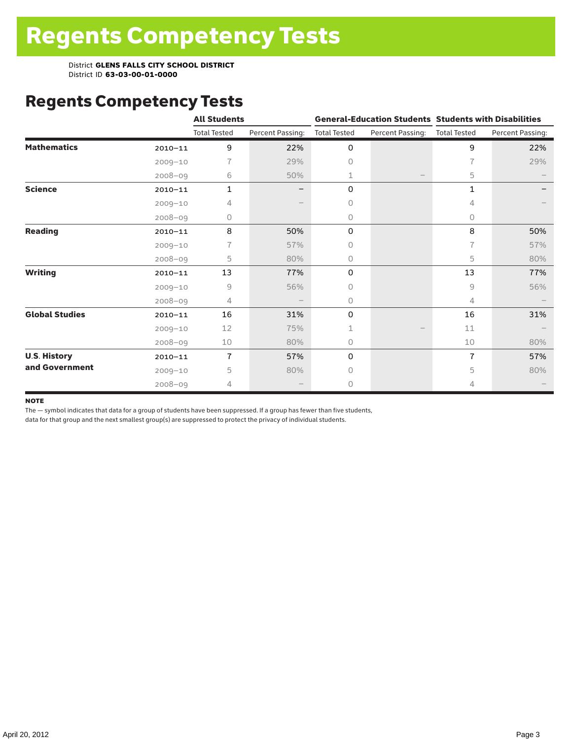### Regents Competency Tests

|                       |             | <b>All Students</b> |                  |                     |                  | <b>General-Education Students Students with Disabilities</b> |                  |  |  |
|-----------------------|-------------|---------------------|------------------|---------------------|------------------|--------------------------------------------------------------|------------------|--|--|
|                       |             | <b>Total Tested</b> | Percent Passing: | <b>Total Tested</b> | Percent Passing: | <b>Total Tested</b>                                          | Percent Passing: |  |  |
| <b>Mathematics</b>    | $2010 - 11$ | 9                   | 22%              | 0                   |                  | 9                                                            | 22%              |  |  |
|                       | $2009 - 10$ | 7                   | 29%              | 0                   |                  | $\overline{1}$                                               | 29%              |  |  |
|                       | $2008 - 09$ | 6                   | 50%              | 1                   |                  | 5                                                            |                  |  |  |
| <b>Science</b>        | $2010 - 11$ | $\mathbf{1}$        |                  | 0                   |                  | 1                                                            |                  |  |  |
|                       | $2009 - 10$ | 4                   |                  | 0                   |                  | 4                                                            |                  |  |  |
|                       | $2008 - 09$ | 0                   |                  | 0                   |                  | 0                                                            |                  |  |  |
| <b>Reading</b>        | $2010 - 11$ | 8                   | 50%              | 0                   |                  | 8                                                            | 50%              |  |  |
|                       | $2009 - 10$ |                     | 57%              | 0                   |                  | 7                                                            | 57%              |  |  |
|                       | $2008 - 09$ | 5                   | 80%              | 0                   |                  | 5                                                            | 80%              |  |  |
| <b>Writing</b>        | $2010 - 11$ | 13                  | 77%              | 0                   |                  | 13                                                           | 77%              |  |  |
|                       | $2009 - 10$ | 9                   | 56%              | 0                   |                  | 9                                                            | 56%              |  |  |
|                       | $2008 - 09$ | 4                   |                  | 0                   |                  | 4                                                            |                  |  |  |
| <b>Global Studies</b> | $2010 - 11$ | 16                  | 31%              | 0                   |                  | 16                                                           | 31%              |  |  |
|                       | $2009 - 10$ | 12                  | 75%              | 1                   |                  | 11                                                           |                  |  |  |
|                       | $2008 - 09$ | 10                  | 80%              | 0                   |                  | 10                                                           | 80%              |  |  |
| <b>U.S. History</b>   | $2010 - 11$ | $\overline{7}$      | 57%              | 0                   |                  | $\overline{1}$                                               | 57%              |  |  |
| and Government        | $2009 - 10$ | 5                   | 80%              | O                   |                  | 5                                                            | 80%              |  |  |
|                       | $2008 - 09$ | 4                   |                  | 0                   |                  | 4                                                            |                  |  |  |

#### **NOTE**

The — symbol indicates that data for a group of students have been suppressed. If a group has fewer than five students,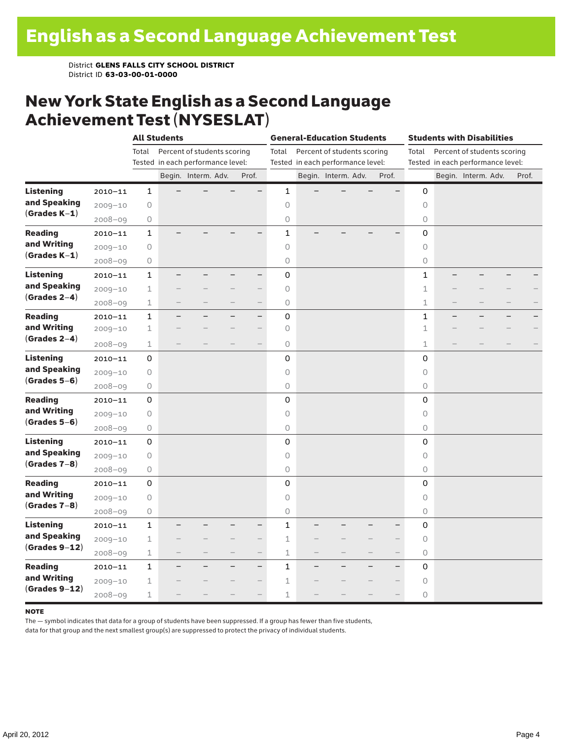#### New York State English as a Second Language Achievement Test (NYSESLAT)

|                  |             |              | <b>All Students</b>               |                             |                          | <b>General-Education Students</b> |  |                                   |  | <b>Students with Disabilities</b> |                     |  |                                   |  |       |
|------------------|-------------|--------------|-----------------------------------|-----------------------------|--------------------------|-----------------------------------|--|-----------------------------------|--|-----------------------------------|---------------------|--|-----------------------------------|--|-------|
|                  |             | Total        |                                   | Percent of students scoring |                          | Total                             |  | Percent of students scoring       |  |                                   | Total               |  | Percent of students scoring       |  |       |
|                  |             |              | Tested in each performance level: |                             |                          |                                   |  | Tested in each performance level: |  |                                   |                     |  | Tested in each performance level: |  |       |
|                  |             |              |                                   | Begin. Interm. Adv.         | Prof.                    |                                   |  | Begin. Interm. Adv.               |  | Prof.                             |                     |  | Begin. Interm. Adv.               |  | Prof. |
| <b>Listening</b> | $2010 - 11$ | $\mathbf{1}$ |                                   |                             |                          | $\mathbf{1}$                      |  |                                   |  |                                   | 0                   |  |                                   |  |       |
| and Speaking     | $2009 - 10$ | $\circ$      |                                   |                             |                          | $\circ$                           |  |                                   |  |                                   | $\circ$             |  |                                   |  |       |
| $(Grades K-1)$   | $2008 - 09$ | $\bigcirc$   |                                   |                             |                          | 0                                 |  |                                   |  |                                   | 0                   |  |                                   |  |       |
| <b>Reading</b>   | $2010 - 11$ | $\mathbf{1}$ |                                   |                             |                          | $\mathbf{1}$                      |  |                                   |  |                                   | 0                   |  |                                   |  |       |
| and Writing      | $2009 - 10$ | $\bigcirc$   |                                   |                             |                          | $\circ$                           |  |                                   |  |                                   | 0                   |  |                                   |  |       |
| $(Grades K-1)$   | $2008 - 09$ | $\bigcirc$   |                                   |                             |                          | $\circ$                           |  |                                   |  |                                   | 0                   |  |                                   |  |       |
| <b>Listening</b> | $2010 - 11$ | $\mathbf{1}$ |                                   |                             | —                        | $\mathbf 0$                       |  |                                   |  |                                   | $\mathbf{1}$        |  |                                   |  |       |
| and Speaking     | $2009 - 10$ | $\mathbf 1$  |                                   |                             | $\overline{\phantom{0}}$ | $\circ$                           |  |                                   |  |                                   | $\mathbf 1$         |  |                                   |  |       |
| $(Grades 2-4)$   | $2008 - 09$ | $\mathbf 1$  |                                   |                             | $\overline{\phantom{0}}$ | $\circ$                           |  |                                   |  |                                   | 1                   |  |                                   |  |       |
| <b>Reading</b>   | $2010 - 11$ | $\mathbf 1$  |                                   |                             | $\overline{\phantom{0}}$ | $\mathbf 0$                       |  |                                   |  |                                   | 1                   |  |                                   |  |       |
| and Writing      | $2009 - 10$ | $\mathbf 1$  |                                   |                             |                          | $\circ$                           |  |                                   |  |                                   | 1                   |  |                                   |  |       |
| $(Grades 2-4)$   | $2008 - 09$ | 1            |                                   |                             | $\overline{\phantom{0}}$ | $\circ$                           |  |                                   |  |                                   | 1                   |  |                                   |  |       |
| <b>Listening</b> | $2010 - 11$ | 0            |                                   |                             |                          | 0                                 |  |                                   |  |                                   | 0                   |  |                                   |  |       |
| and Speaking     | $2009 - 10$ | 0            |                                   |                             |                          | $\circ$                           |  |                                   |  |                                   | $\circ$             |  |                                   |  |       |
| $(Grades 5-6)$   | $2008 - 09$ | $\bigcirc$   |                                   |                             |                          | 0                                 |  |                                   |  |                                   | 0                   |  |                                   |  |       |
| <b>Reading</b>   | $2010 - 11$ | 0            |                                   |                             |                          | 0                                 |  |                                   |  |                                   | 0                   |  |                                   |  |       |
| and Writing      | $2009 - 10$ | 0            |                                   |                             |                          | $\circ$                           |  |                                   |  |                                   | $\circlearrowright$ |  |                                   |  |       |
| $(Grades 5-6)$   | $2008 - 09$ | $\bigcirc$   |                                   |                             |                          | 0                                 |  |                                   |  |                                   | 0                   |  |                                   |  |       |
| <b>Listening</b> | $2010 - 11$ | 0            |                                   |                             |                          | 0                                 |  |                                   |  |                                   | 0                   |  |                                   |  |       |
| and Speaking     | $2009 - 10$ | $\bigcirc$   |                                   |                             |                          | $\circ$                           |  |                                   |  |                                   | $\circ$             |  |                                   |  |       |
| $(Grades 7-8)$   | $2008 - 09$ | $\bigcirc$   |                                   |                             |                          | $\circ$                           |  |                                   |  |                                   | 0                   |  |                                   |  |       |
| <b>Reading</b>   | $2010 - 11$ | 0            |                                   |                             |                          | 0                                 |  |                                   |  |                                   | 0                   |  |                                   |  |       |
| and Writing      | $2009 - 10$ | 0            |                                   |                             |                          | $\circ$                           |  |                                   |  |                                   | $\circ$             |  |                                   |  |       |
| $(Grades 7-8)$   | $2008 - 09$ | $\bigcirc$   |                                   |                             |                          | $\circ$                           |  |                                   |  |                                   | 0                   |  |                                   |  |       |
| <b>Listening</b> | $2010 - 11$ | $\mathbf{1}$ |                                   |                             | -                        | $\mathbf{1}$                      |  |                                   |  |                                   | 0                   |  |                                   |  |       |
| and Speaking     | $2009 - 10$ | $\mathbf{1}$ |                                   |                             | $\overline{\phantom{0}}$ | $\mathbf 1$                       |  |                                   |  |                                   | $\circ$             |  |                                   |  |       |
| $(Grades 9-12)$  | $2008 - 09$ | $\mathbf 1$  |                                   |                             | $\overline{\phantom{0}}$ | $\mathbf 1$                       |  |                                   |  |                                   | 0                   |  |                                   |  |       |
| <b>Reading</b>   | $2010 - 11$ | $\mathbf{1}$ |                                   |                             | $-$                      | $\mathbf{1}$                      |  |                                   |  | $\overline{\phantom{0}}$          | 0                   |  |                                   |  |       |
| and Writing      | $2009 - 10$ | $\mathbf 1$  |                                   |                             | $\overline{\phantom{0}}$ | 1                                 |  |                                   |  |                                   | $\circ$             |  |                                   |  |       |
| $(Grades 9-12)$  | $2008 - 09$ | $\mathbf 1$  |                                   |                             | $\overline{\phantom{0}}$ | 1                                 |  |                                   |  |                                   | 0                   |  |                                   |  |       |

#### note

The — symbol indicates that data for a group of students have been suppressed. If a group has fewer than five students,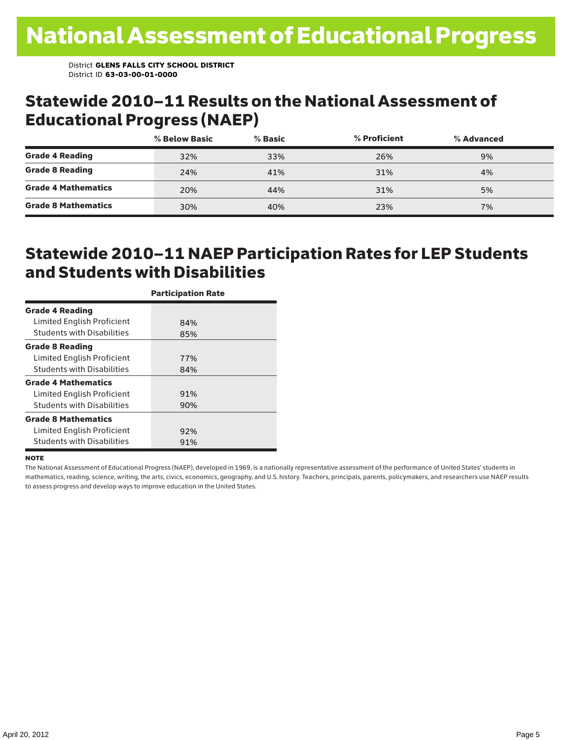#### Statewide 2010–11 Results on the National Assessment of Educational Progress (NAEP)

|                            | % Below Basic | % Basic | % Proficient | % Advanced |  |
|----------------------------|---------------|---------|--------------|------------|--|
| <b>Grade 4 Reading</b>     | 32%           | 33%     | 26%          | 9%         |  |
| <b>Grade 8 Reading</b>     | 24%           | 41%     | 31%          | 4%         |  |
| <b>Grade 4 Mathematics</b> | 20%           | 44%     | 31%          | 5%         |  |
| <b>Grade 8 Mathematics</b> | 30%           | 40%     | 23%          | 7%         |  |

### Statewide 2010–11 NAEP Participation Rates for LEP Students and Students with Disabilities

|                                   | <b>Participation Rate</b> |
|-----------------------------------|---------------------------|
| <b>Grade 4 Reading</b>            |                           |
| Limited English Proficient        | 84%                       |
| <b>Students with Disabilities</b> | 85%                       |
| <b>Grade 8 Reading</b>            |                           |
| Limited English Proficient        | 77%                       |
| <b>Students with Disabilities</b> | 84%                       |
| <b>Grade 4 Mathematics</b>        |                           |
| Limited English Proficient        | 91%                       |
| <b>Students with Disabilities</b> | 90%                       |
| <b>Grade 8 Mathematics</b>        |                           |
| Limited English Proficient        | 92%                       |
| <b>Students with Disabilities</b> | 91%                       |

#### **NOTE**

The National Assessment of Educational Progress (NAEP), developed in 1969, is a nationally representative assessment of the performance of United States' students in mathematics, reading, science, writing, the arts, civics, economics, geography, and U.S. history. Teachers, principals, parents, policymakers, and researchers use NAEP results to assess progress and develop ways to improve education in the United States.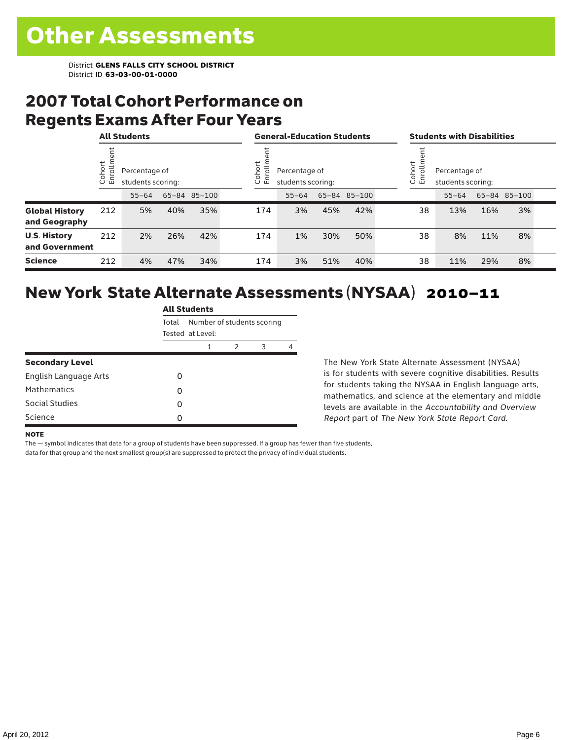### 2007 Total Cohort Performance on Regents Exams After Four Years

|                                        |                   | <b>All Students</b> |                                    |              |  | <b>General-Education Students</b>                                   |           |     |              |  | <b>Students with Disabilities</b>                              |           |     |              |  |
|----------------------------------------|-------------------|---------------------|------------------------------------|--------------|--|---------------------------------------------------------------------|-----------|-----|--------------|--|----------------------------------------------------------------|-----------|-----|--------------|--|
|                                        | ohort<br>힏<br>ី ក |                     | Percentage of<br>students scoring: |              |  | ohort<br>rolln<br>Percentage of<br>문<br>students scoring:<br>$\cup$ |           |     |              |  | ohort<br>rollm<br>Percentage of<br>밑<br>students scoring:<br>Ū |           |     |              |  |
|                                        |                   | $55 - 64$           |                                    | 65-84 85-100 |  |                                                                     | $55 - 64$ |     | 65-84 85-100 |  |                                                                | $55 - 64$ |     | 65-84 85-100 |  |
| <b>Global History</b><br>and Geography | 212               | 5%                  | 40%                                | 35%          |  | 174                                                                 | 3%        | 45% | 42%          |  | 38                                                             | 13%       | 16% | 3%           |  |
| <b>U.S. History</b><br>and Government  | 212               | 2%                  | 26%                                | 42%          |  | 174                                                                 | 1%        | 30% | 50%          |  | 38                                                             | 8%        | 11% | 8%           |  |
| <b>Science</b>                         | 212               | 4%                  | 47%                                | 34%          |  | 174                                                                 | 3%        | 51% | 40%          |  | 38                                                             | 11%       | 29% | 8%           |  |

### New York State Alternate Assessments (NYSAA) 2010–11

|                              | <b>All Students</b> |                            |   |   |   |  |  |  |  |
|------------------------------|---------------------|----------------------------|---|---|---|--|--|--|--|
|                              | Total               | Number of students scoring |   |   |   |  |  |  |  |
|                              |                     | Tested at Level:           |   |   |   |  |  |  |  |
|                              |                     | 1                          | 2 | 3 | 4 |  |  |  |  |
| <b>Secondary Level</b>       |                     |                            |   |   |   |  |  |  |  |
| <b>English Language Arts</b> | ი                   |                            |   |   |   |  |  |  |  |
| Mathematics                  | 0                   |                            |   |   |   |  |  |  |  |
| Social Studies               | 0                   |                            |   |   |   |  |  |  |  |
| Science                      | ი                   |                            |   |   |   |  |  |  |  |

The New York State Alternate Assessment (NYSAA) is for students with severe cognitive disabilities. Results for students taking the NYSAA in English language arts, mathematics, and science at the elementary and middle levels are available in the *Accountability and Overview Report* part of *The New York State Report Card*.

#### **NOTE**

The — symbol indicates that data for a group of students have been suppressed. If a group has fewer than five students,